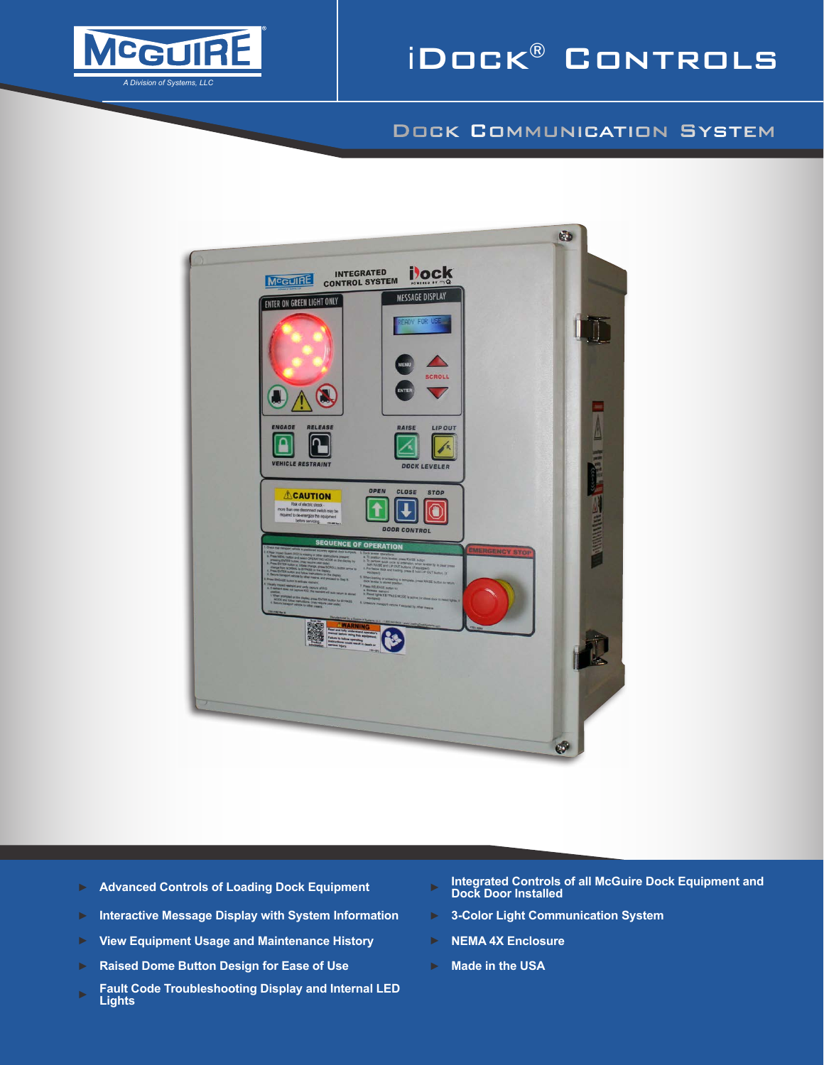

# iDock® Controls

### Dock Communication System



- 
- ► **Interactive Message Display with System Information** ► **3-Color Light Communication System**
- ► **View Equipment Usage and Maintenance History** ► **NEMA 4X Enclosure**
- ► **Raised Dome Button Design for Ease of Use** ► **Made in the USA**
- ► **Fault Code Troubleshooting Display and Internal LED Lights**
- ► **Advanced Controls of Loading Dock Equipment** ► **Integrated Controls of all McGuire Dock Equipment and Dock Door Installed**
	-
	-
	-